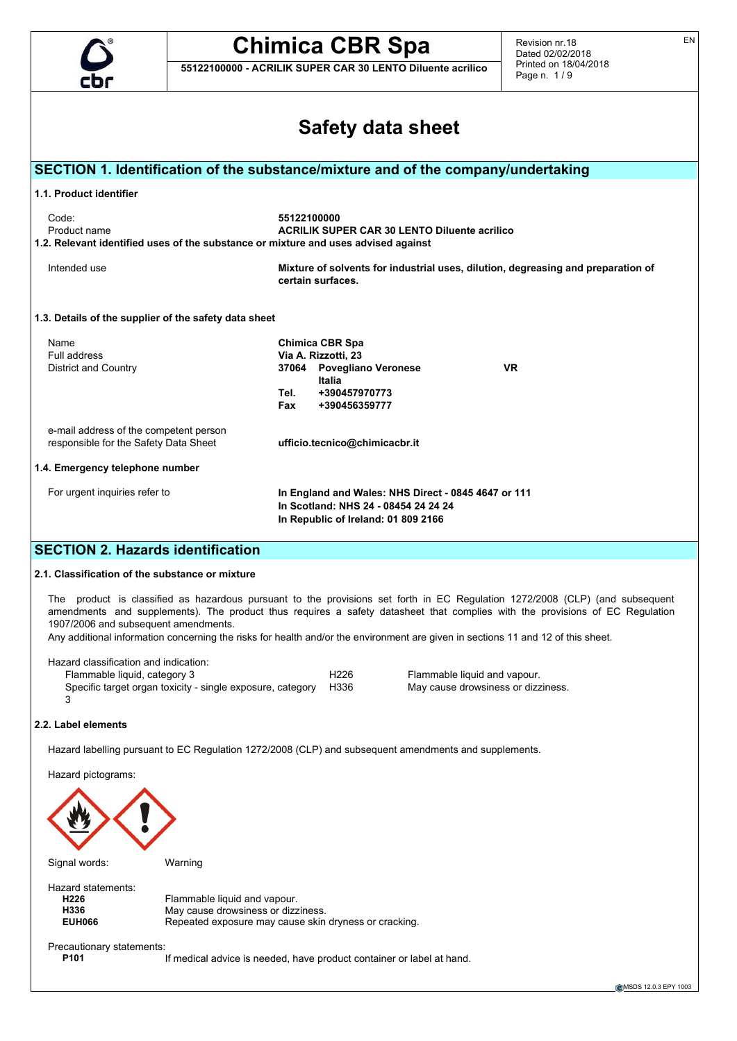

**55122100000 - ACRILIK SUPER CAR 30 LENTO Diluente acrilico**

Revision nr.18 Dated 02/02/2018 Printed on 18/04/2018 Page n. 1 / 9

|                                                                                 |                                                            | <b>Safety data sheet</b>                                                                                                                                                                                                                                                                                                                                                                         |
|---------------------------------------------------------------------------------|------------------------------------------------------------|--------------------------------------------------------------------------------------------------------------------------------------------------------------------------------------------------------------------------------------------------------------------------------------------------------------------------------------------------------------------------------------------------|
|                                                                                 |                                                            |                                                                                                                                                                                                                                                                                                                                                                                                  |
|                                                                                 |                                                            | SECTION 1. Identification of the substance/mixture and of the company/undertaking                                                                                                                                                                                                                                                                                                                |
| 1.1. Product identifier                                                         |                                                            |                                                                                                                                                                                                                                                                                                                                                                                                  |
| Code:<br>Product name                                                           |                                                            | 55122100000<br><b>ACRILIK SUPER CAR 30 LENTO Diluente acrilico</b><br>1.2. Relevant identified uses of the substance or mixture and uses advised against                                                                                                                                                                                                                                         |
| Intended use                                                                    |                                                            | Mixture of solvents for industrial uses, dilution, degreasing and preparation of<br>certain surfaces.                                                                                                                                                                                                                                                                                            |
|                                                                                 | 1.3. Details of the supplier of the safety data sheet      |                                                                                                                                                                                                                                                                                                                                                                                                  |
| Name                                                                            |                                                            | <b>Chimica CBR Spa</b>                                                                                                                                                                                                                                                                                                                                                                           |
| Full address<br><b>District and Country</b>                                     |                                                            | Via A. Rizzotti, 23<br>37064 Povegliano Veronese<br>VR.                                                                                                                                                                                                                                                                                                                                          |
|                                                                                 |                                                            | Italia                                                                                                                                                                                                                                                                                                                                                                                           |
|                                                                                 |                                                            | +390457970773<br>Tel.<br>Fax<br>+390456359777                                                                                                                                                                                                                                                                                                                                                    |
| e-mail address of the competent person<br>responsible for the Safety Data Sheet |                                                            | ufficio.tecnico@chimicacbr.it                                                                                                                                                                                                                                                                                                                                                                    |
| 1.4. Emergency telephone number                                                 |                                                            |                                                                                                                                                                                                                                                                                                                                                                                                  |
| For urgent inquiries refer to                                                   |                                                            | In England and Wales: NHS Direct - 0845 4647 or 111                                                                                                                                                                                                                                                                                                                                              |
|                                                                                 |                                                            | In Scotland: NHS 24 - 08454 24 24 24<br>In Republic of Ireland: 01 809 2166                                                                                                                                                                                                                                                                                                                      |
| <b>SECTION 2. Hazards identification</b>                                        |                                                            |                                                                                                                                                                                                                                                                                                                                                                                                  |
| 2.1. Classification of the substance or mixture                                 |                                                            |                                                                                                                                                                                                                                                                                                                                                                                                  |
|                                                                                 |                                                            |                                                                                                                                                                                                                                                                                                                                                                                                  |
| 1907/2006 and subsequent amendments.                                            |                                                            | The product is classified as hazardous pursuant to the provisions set forth in EC Regulation 1272/2008 (CLP) (and subsequent<br>amendments and supplements). The product thus requires a safety datasheet that complies with the provisions of EC Regulation<br>Any additional information concerning the risks for health and/or the environment are given in sections 11 and 12 of this sheet. |
|                                                                                 |                                                            |                                                                                                                                                                                                                                                                                                                                                                                                  |
| Hazard classification and indication:                                           |                                                            | H <sub>226</sub><br>Flammable liquid and vapour.                                                                                                                                                                                                                                                                                                                                                 |
|                                                                                 |                                                            | H336                                                                                                                                                                                                                                                                                                                                                                                             |
| Flammable liquid, category 3<br>3                                               | Specific target organ toxicity - single exposure, category | May cause drowsiness or dizziness.                                                                                                                                                                                                                                                                                                                                                               |
|                                                                                 |                                                            |                                                                                                                                                                                                                                                                                                                                                                                                  |
|                                                                                 |                                                            | Hazard labelling pursuant to EC Regulation 1272/2008 (CLP) and subsequent amendments and supplements.                                                                                                                                                                                                                                                                                            |
| Hazard pictograms:                                                              |                                                            |                                                                                                                                                                                                                                                                                                                                                                                                  |
| 2.2. Label elements                                                             |                                                            |                                                                                                                                                                                                                                                                                                                                                                                                  |
|                                                                                 |                                                            |                                                                                                                                                                                                                                                                                                                                                                                                  |
| Signal words:                                                                   | Warning                                                    |                                                                                                                                                                                                                                                                                                                                                                                                  |
| Hazard statements:                                                              |                                                            |                                                                                                                                                                                                                                                                                                                                                                                                  |
| H226<br>H336                                                                    | Flammable liquid and vapour.                               |                                                                                                                                                                                                                                                                                                                                                                                                  |
| <b>EUH066</b>                                                                   | May cause drowsiness or dizziness.                         | Repeated exposure may cause skin dryness or cracking.                                                                                                                                                                                                                                                                                                                                            |
| Precautionary statements:<br>P <sub>101</sub>                                   |                                                            | If medical advice is needed, have product container or label at hand.                                                                                                                                                                                                                                                                                                                            |

EN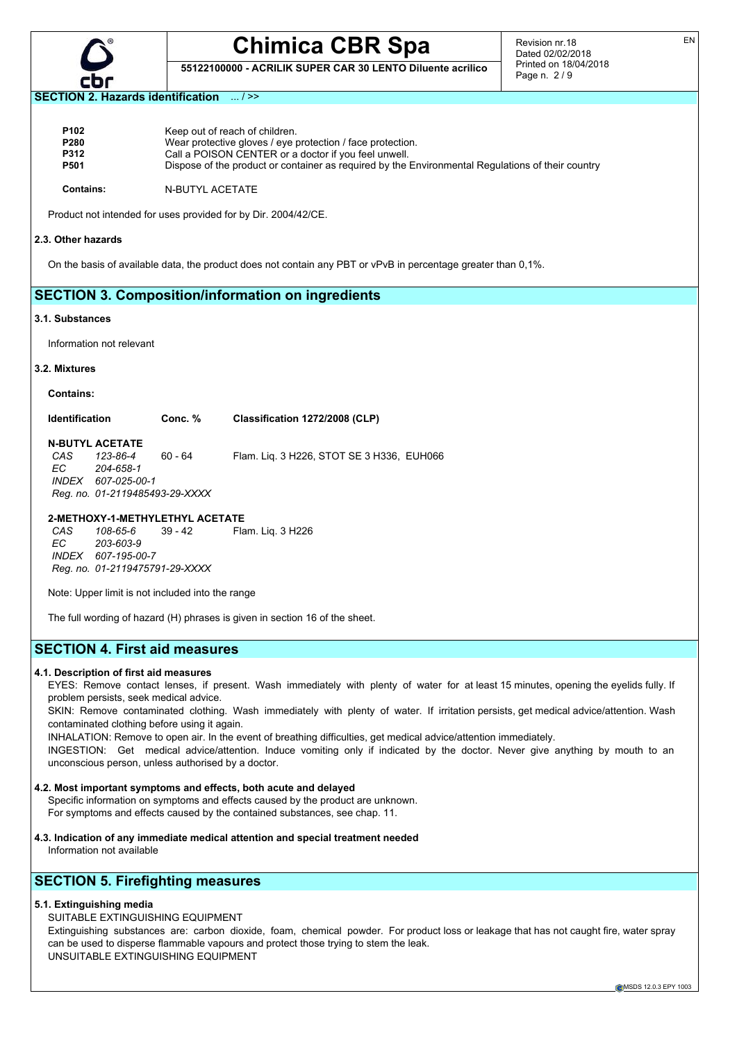

**55122100000 - ACRILIK SUPER CAR 30 LENTO Diluente acrilico**

Revision nr.18 Dated 02/02/2018 Printed on 18/04/2018 Page n. 2 / 9

### **SECTION 2. Hazards identification** ... / >>

| P <sub>102</sub> | Keep out of reach of children.                                                                    |
|------------------|---------------------------------------------------------------------------------------------------|
| P280             | Wear protective gloves / eye protection / face protection.                                        |
| <b>P312</b>      | Call a POISON CENTER or a doctor if you feel unwell.                                              |
| <b>P501</b>      | Dispose of the product or container as required by the Environmental Regulations of their country |
| <b>Contains:</b> | N-BUTYL ACETATE                                                                                   |

Product not intended for uses provided for by Dir. 2004/42/CE.

#### **2.3. Other hazards**

On the basis of available data, the product does not contain any PBT or vPvB in percentage greater than 0,1%.

## **SECTION 3. Composition/information on ingredients**

#### **3.1. Substances**

Information not relevant

## **3.2. Mixtures**

**Contains:**

## **Identification Conc. % Classification 1272/2008 (CLP)**

## **N-BUTYL ACETATE**<br>CAS 123-86-4

*CAS 123-86-4* 60 - 64 Flam. Liq. 3 H226, STOT SE 3 H336, EUH066 *EC 204-658-1 INDEX 607-025-00-1 Reg. no. 01-2119485493-29-XXXX*

## **2-METHOXY-1-METHYLETHYL ACETATE**

*CAS 108-65-6* 39 - 42 Flam. Liq. 3 H226 *EC 203-603-9 INDEX 607-195-00-7 Reg. no. 01-2119475791-29-XXXX*

Note: Upper limit is not included into the range

The full wording of hazard (H) phrases is given in section 16 of the sheet.

## **SECTION 4. First aid measures**

## **4.1. Description of first aid measures**

EYES: Remove contact lenses, if present. Wash immediately with plenty of water for at least 15 minutes, opening the eyelids fully. If problem persists, seek medical advice.

SKIN: Remove contaminated clothing. Wash immediately with plenty of water. If irritation persists, get medical advice/attention. Wash contaminated clothing before using it again.

INHALATION: Remove to open air. In the event of breathing difficulties, get medical advice/attention immediately.

INGESTION: Get medical advice/attention. Induce vomiting only if indicated by the doctor. Never give anything by mouth to an unconscious person, unless authorised by a doctor.

#### **4.2. Most important symptoms and effects, both acute and delayed**

Specific information on symptoms and effects caused by the product are unknown. For symptoms and effects caused by the contained substances, see chap. 11.

**4.3. Indication of any immediate medical attention and special treatment needed** Information not available

## **SECTION 5. Firefighting measures**

## **5.1. Extinguishing media**

## SUITABLE EXTINGUISHING EQUIPMENT

Extinguishing substances are: carbon dioxide, foam, chemical powder. For product loss or leakage that has not caught fire, water spray can be used to disperse flammable vapours and protect those trying to stem the leak. UNSUITABLE EXTINGUISHING EQUIPMENT

EN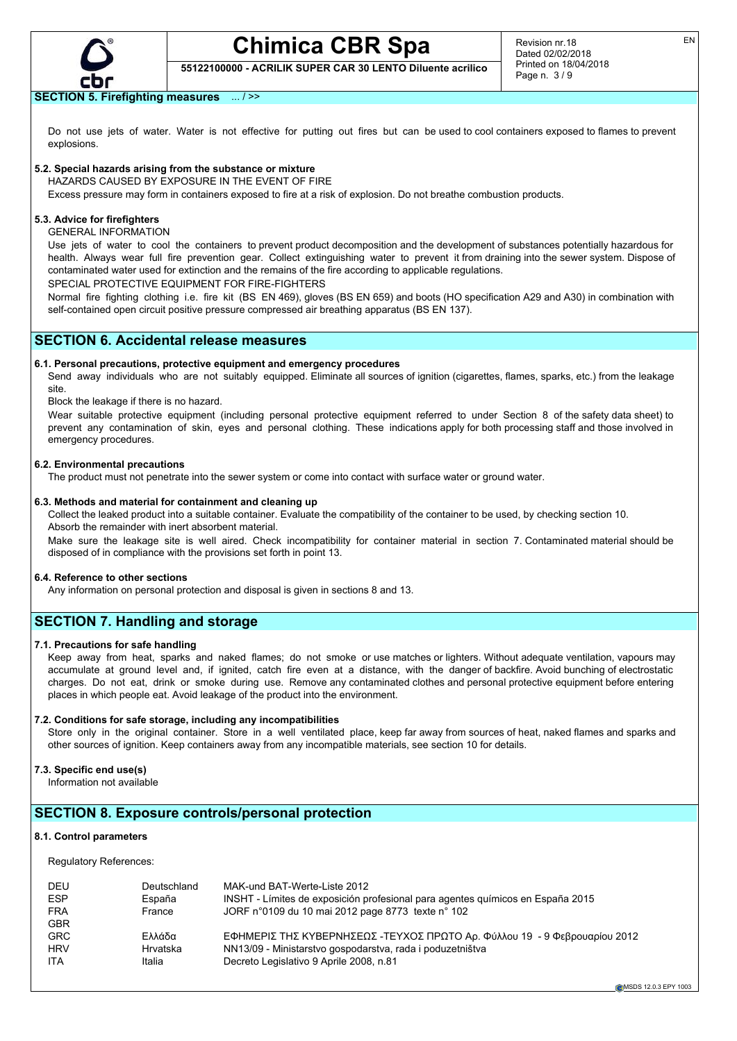

**55122100000 - ACRILIK SUPER CAR 30 LENTO Diluente acrilico**

## **SECTION 5. Firefighting measures** ... / >>

Do not use jets of water. Water is not effective for putting out fires but can be used to cool containers exposed to flames to prevent explosions.

## **5.2. Special hazards arising from the substance or mixture**

HAZARDS CAUSED BY EXPOSURE IN THE EVENT OF FIRE

Excess pressure may form in containers exposed to fire at a risk of explosion. Do not breathe combustion products.

## **5.3. Advice for firefighters**

GENERAL INFORMATION

Use jets of water to cool the containers to prevent product decomposition and the development of substances potentially hazardous for health. Always wear full fire prevention gear. Collect extinguishing water to prevent it from draining into the sewer system. Dispose of contaminated water used for extinction and the remains of the fire according to applicable regulations.

SPECIAL PROTECTIVE EQUIPMENT FOR FIRE-FIGHTERS

Normal fire fighting clothing i.e. fire kit (BS EN 469), gloves (BS EN 659) and boots (HO specification A29 and A30) in combination with self-contained open circuit positive pressure compressed air breathing apparatus (BS EN 137).

## **SECTION 6. Accidental release measures**

## **6.1. Personal precautions, protective equipment and emergency procedures**

Send away individuals who are not suitably equipped. Eliminate all sources of ignition (cigarettes, flames, sparks, etc.) from the leakage site.

Block the leakage if there is no hazard.

Wear suitable protective equipment (including personal protective equipment referred to under Section 8 of the safety data sheet) to prevent any contamination of skin, eyes and personal clothing. These indications apply for both processing staff and those involved in emergency procedures.

## **6.2. Environmental precautions**

The product must not penetrate into the sewer system or come into contact with surface water or ground water.

#### **6.3. Methods and material for containment and cleaning up**

Collect the leaked product into a suitable container. Evaluate the compatibility of the container to be used, by checking section 10. Absorb the remainder with inert absorbent material.

Make sure the leakage site is well aired. Check incompatibility for container material in section 7. Contaminated material should be disposed of in compliance with the provisions set forth in point 13.

#### **6.4. Reference to other sections**

Any information on personal protection and disposal is given in sections 8 and 13.

## **SECTION 7. Handling and storage**

## **7.1. Precautions for safe handling**

Keep away from heat, sparks and naked flames; do not smoke or use matches or lighters. Without adequate ventilation, vapours may accumulate at ground level and, if ignited, catch fire even at a distance, with the danger of backfire. Avoid bunching of electrostatic charges. Do not eat, drink or smoke during use. Remove any contaminated clothes and personal protective equipment before entering places in which people eat. Avoid leakage of the product into the environment.

#### **7.2. Conditions for safe storage, including any incompatibilities**

Store only in the original container. Store in a well ventilated place, keep far away from sources of heat, naked flames and sparks and other sources of ignition. Keep containers away from any incompatible materials, see section 10 for details.

### **7.3. Specific end use(s)**

Information not available

## **SECTION 8. Exposure controls/personal protection**

## **8.1. Control parameters**

Regulatory References:

| DEU        | Deutschland | MAK-und BAT-Werte-Liste 2012                                                   |
|------------|-------------|--------------------------------------------------------------------------------|
| <b>ESP</b> | España      | INSHT - Límites de exposición profesional para agentes guímicos en España 2015 |
| <b>FRA</b> | France      | JORF n°0109 du 10 mai 2012 page 8773 texte n° 102                              |
| <b>GBR</b> |             |                                                                                |
| <b>GRC</b> | Ελλάδα      | ΕΦΗΜΕΡΙΣ ΤΗΣ ΚΥΒΕΡΝΗΣΕΩΣ -ΤΕΥΧΟΣ ΠΡΩΤΟ Αρ. Φύλλου 19 - 9 Φεβρουαρίου 2012      |
| <b>HRV</b> | Hrvatska    | NN13/09 - Ministarstvo gospodarstva, rada i poduzetništva                      |
| <b>ITA</b> | Italia      | Decreto Legislativo 9 Aprile 2008, n.81                                        |
|            |             |                                                                                |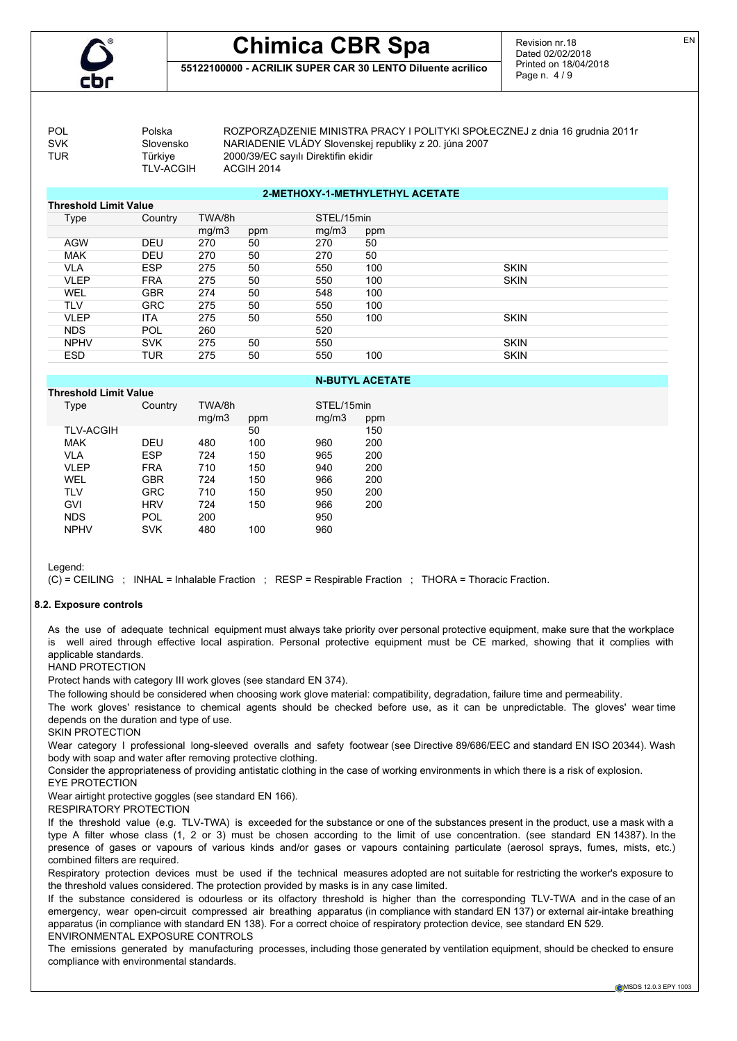

## **Chimica CBR Spa 55122100000 - ACRILIK SUPER CAR 30 LENTO Diluente acrilico**

Revision nr.18 Dated 02/02/2018 Printed on 18/04/2018 Page n. 4 / 9

TLV-ACGIH

POL POLSKa ROZPORZĄDZENIE MINISTRA PRACY I POLITYKI SPOŁECZNEJ z dnia 16 grudnia 2011 r<br>SVK Silovensko NARIADENIE VLÁDY Slovenskei republiky z 20. iúna 2007 Slovensko NARIADENIE VLÁDY Slovenskej republiky z 20. júna 2007 TUR Türkiye 2000/39/EC sayılı Direktifin ekidir

| <b>Threshold Limit Value</b> |            |        |     |            |     |             |
|------------------------------|------------|--------|-----|------------|-----|-------------|
| Type                         | Country    | TWA/8h |     | STEL/15min |     |             |
|                              |            | mg/m3  | ppm | mq/m3      | ppm |             |
| <b>AGW</b>                   | <b>DEU</b> | 270    | 50  | 270        | 50  |             |
| <b>MAK</b>                   | <b>DEU</b> | 270    | 50  | 270        | 50  |             |
| <b>VLA</b>                   | <b>ESP</b> | 275    | 50  | 550        | 100 | <b>SKIN</b> |
| <b>VLEP</b>                  | <b>FRA</b> | 275    | 50  | 550        | 100 | <b>SKIN</b> |
| <b>WEL</b>                   | <b>GBR</b> | 274    | 50  | 548        | 100 |             |
| <b>TLV</b>                   | <b>GRC</b> | 275    | 50  | 550        | 100 |             |
| VLEP                         | <b>ITA</b> | 275    | 50  | 550        | 100 | <b>SKIN</b> |
| <b>NDS</b>                   | <b>POL</b> | 260    |     | 520        |     |             |
| <b>NPHV</b>                  | <b>SVK</b> | 275    | 50  | 550        |     | <b>SKIN</b> |
| <b>ESD</b>                   | TUR        | 275    | 50  | 550        | 100 | <b>SKIN</b> |
|                              |            |        |     |            |     |             |

**2-METHOXY-1-METHYLETHYL ACETATE**

## **N-BUTYL ACETATE**

| <b>Threshold Limit Value</b> |            |                 |     |                     |     |
|------------------------------|------------|-----------------|-----|---------------------|-----|
| Type                         | Country    | TWA/8h<br>mg/m3 | ppm | STEL/15min<br>mq/m3 | ppm |
| <b>TLV-ACGIH</b>             |            |                 | 50  |                     | 150 |
| <b>MAK</b>                   | DEU        | 480             | 100 | 960                 | 200 |
| VLA                          | ESP        | 724             | 150 | 965                 | 200 |
| VLEP                         | <b>FRA</b> | 710             | 150 | 940                 | 200 |
| WEL                          | GBR        | 724             | 150 | 966                 | 200 |
| <b>TLV</b>                   | GRC        | 710             | 150 | 950                 | 200 |
| GVI                          | <b>HRV</b> | 724             | 150 | 966                 | 200 |
| <b>NDS</b>                   | POL        | 200             |     | 950                 |     |
| <b>NPHV</b>                  | SVK        | 480             | 100 | 960                 |     |

Legend:

(C) = CEILING ; INHAL = Inhalable Fraction ; RESP = Respirable Fraction ; THORA = Thoracic Fraction.

## **8.2. Exposure controls**

As the use of adequate technical equipment must always take priority over personal protective equipment, make sure that the workplace is well aired through effective local aspiration. Personal protective equipment must be CE marked, showing that it complies with applicable standards.

HAND PROTECTION

Protect hands with category III work gloves (see standard EN 374).

The following should be considered when choosing work glove material: compatibility, degradation, failure time and permeability.

The work gloves' resistance to chemical agents should be checked before use, as it can be unpredictable. The gloves' wear time depends on the duration and type of use.

SKIN PROTECTION

Wear category I professional long-sleeved overalls and safety footwear (see Directive 89/686/EEC and standard EN ISO 20344). Wash body with soap and water after removing protective clothing.

Consider the appropriateness of providing antistatic clothing in the case of working environments in which there is a risk of explosion. EYE PROTECTION

Wear airtight protective goggles (see standard EN 166).

RESPIRATORY PROTECTION

If the threshold value (e.g. TLV-TWA) is exceeded for the substance or one of the substances present in the product, use a mask with a type A filter whose class (1, 2 or 3) must be chosen according to the limit of use concentration. (see standard EN 14387). In the presence of gases or vapours of various kinds and/or gases or vapours containing particulate (aerosol sprays, fumes, mists, etc.) combined filters are required.

Respiratory protection devices must be used if the technical measures adopted are not suitable for restricting the worker's exposure to the threshold values considered. The protection provided by masks is in any case limited.

If the substance considered is odourless or its olfactory threshold is higher than the corresponding TLV-TWA and in the case of an emergency, wear open-circuit compressed air breathing apparatus (in compliance with standard EN 137) or external air-intake breathing apparatus (in compliance with standard EN 138). For a correct choice of respiratory protection device, see standard EN 529. ENVIRONMENTAL EXPOSURE CONTROLS

The emissions generated by manufacturing processes, including those generated by ventilation equipment, should be checked to ensure compliance with environmental standards.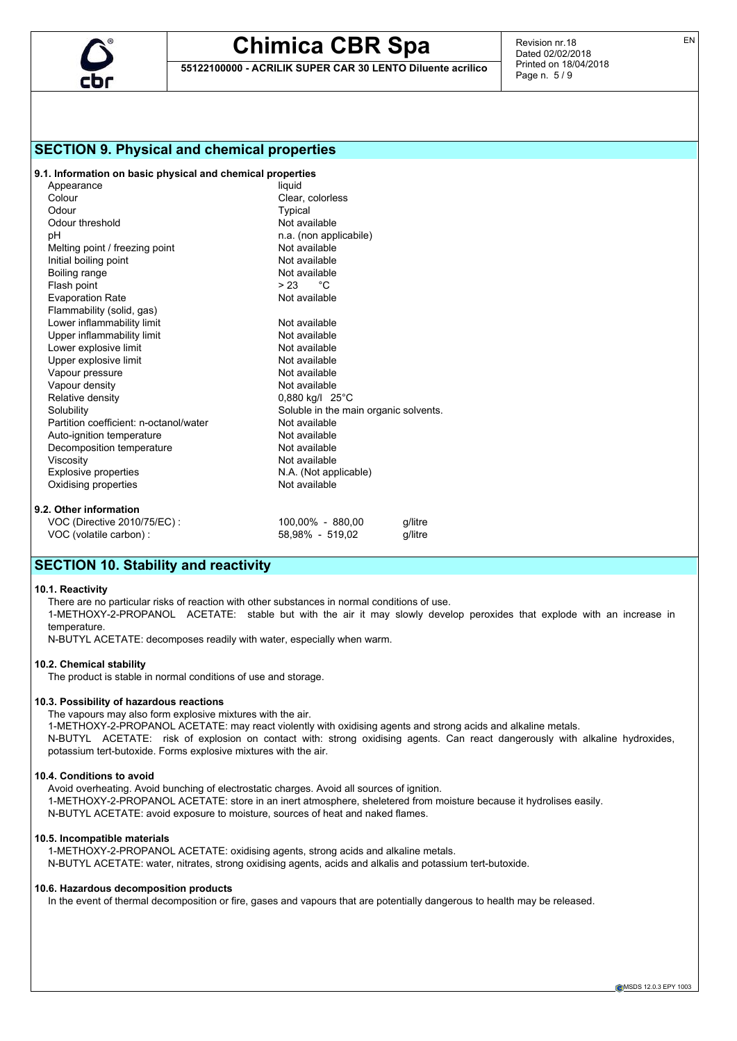

**55122100000 - ACRILIK SUPER CAR 30 LENTO Diluente acrilico**

Revision nr.18 Dated 02/02/2018 Printed on 18/04/2018 Page n. 5 / 9

## **SECTION 9. Physical and chemical properties**

## **9.1. Information on basic physical and chemical properties**

| Appearance                             | liquid                                |         |  |
|----------------------------------------|---------------------------------------|---------|--|
| Colour                                 | Clear, colorless                      |         |  |
| Odour                                  | Typical                               |         |  |
| Odour threshold                        | Not available                         |         |  |
| рH                                     | n.a. (non applicabile)                |         |  |
| Melting point / freezing point         | Not available                         |         |  |
| Initial boiling point                  | Not available                         |         |  |
| Boiling range                          | Not available                         |         |  |
| Flash point                            | $> 23$ °C                             |         |  |
| <b>Evaporation Rate</b>                | Not available                         |         |  |
| Flammability (solid, gas)              |                                       |         |  |
| Lower inflammability limit             | Not available                         |         |  |
| Upper inflammability limit             | Not available                         |         |  |
| Lower explosive limit                  | Not available                         |         |  |
| Upper explosive limit                  | Not available                         |         |  |
| Vapour pressure                        | Not available                         |         |  |
| Vapour density                         | Not available                         |         |  |
| Relative density                       | $0,880$ kg/l $25^{\circ}$ C           |         |  |
| Solubility                             | Soluble in the main organic solvents. |         |  |
| Partition coefficient: n-octanol/water | Not available                         |         |  |
| Auto-ignition temperature              | Not available                         |         |  |
| Decomposition temperature              | Not available                         |         |  |
| Viscosity                              | Not available                         |         |  |
| <b>Explosive properties</b>            | N.A. (Not applicable)                 |         |  |
| Oxidising properties                   | Not available                         |         |  |
| 9.2. Other information                 |                                       |         |  |
| VOC (Directive 2010/75/EC) :           | 100,00% - 880,00                      | q/litre |  |
| VOC (volatile carbon) :                | 58.98% - 519.02                       | a/litre |  |

## **SECTION 10. Stability and reactivity**

#### **10.1. Reactivity**

There are no particular risks of reaction with other substances in normal conditions of use.

1-METHOXY-2-PROPANOL ACETATE: stable but with the air it may slowly develop peroxides that explode with an increase in temperature.

N-BUTYL ACETATE: decomposes readily with water, especially when warm.

#### **10.2. Chemical stability**

The product is stable in normal conditions of use and storage.

## **10.3. Possibility of hazardous reactions**

The vapours may also form explosive mixtures with the air.

1-METHOXY-2-PROPANOL ACETATE: may react violently with oxidising agents and strong acids and alkaline metals. N-BUTYL ACETATE: risk of explosion on contact with: strong oxidising agents. Can react dangerously with alkaline hydroxides, potassium tert-butoxide. Forms explosive mixtures with the air.

## **10.4. Conditions to avoid**

Avoid overheating. Avoid bunching of electrostatic charges. Avoid all sources of ignition. 1-METHOXY-2-PROPANOL ACETATE: store in an inert atmosphere, sheletered from moisture because it hydrolises easily. N-BUTYL ACETATE: avoid exposure to moisture, sources of heat and naked flames.

#### **10.5. Incompatible materials**

1-METHOXY-2-PROPANOL ACETATE: oxidising agents, strong acids and alkaline metals. N-BUTYL ACETATE: water, nitrates, strong oxidising agents, acids and alkalis and potassium tert-butoxide.

#### **10.6. Hazardous decomposition products**

In the event of thermal decomposition or fire, gases and vapours that are potentially dangerous to health may be released.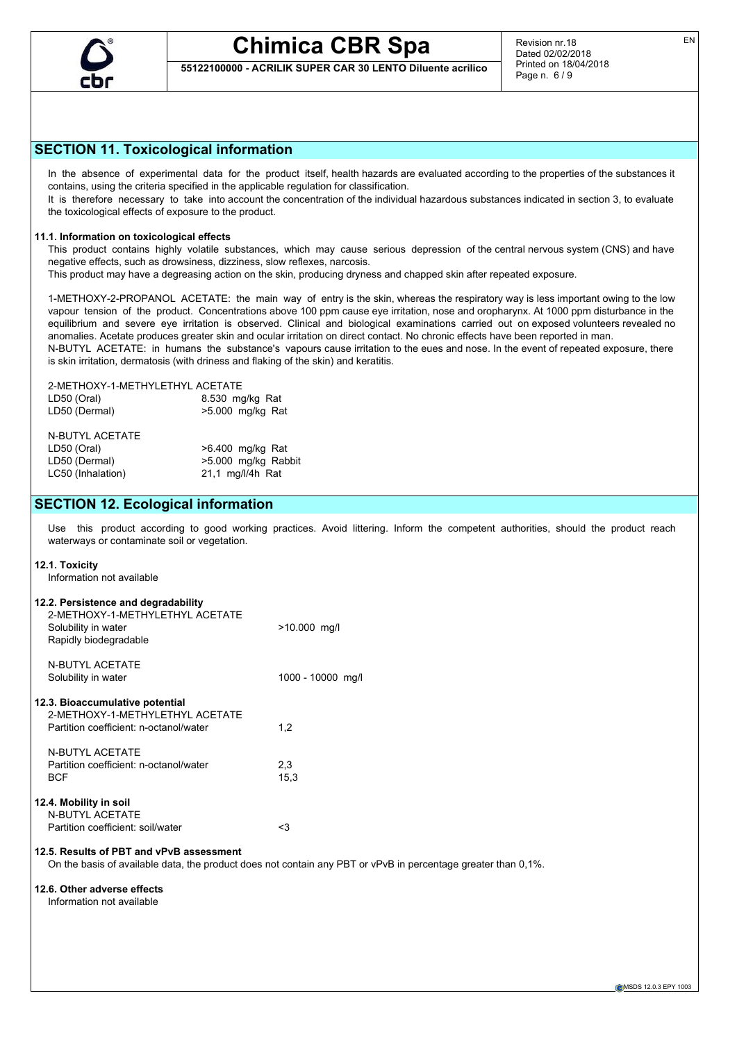

**55122100000 - ACRILIK SUPER CAR 30 LENTO Diluente acrilico**

EN

## **SECTION 11. Toxicological information**

In the absence of experimental data for the product itself, health hazards are evaluated according to the properties of the substances it contains, using the criteria specified in the applicable regulation for classification.

It is therefore necessary to take into account the concentration of the individual hazardous substances indicated in section 3, to evaluate the toxicological effects of exposure to the product.

## **11.1. Information on toxicological effects**

This product contains highly volatile substances, which may cause serious depression of the central nervous system (CNS) and have negative effects, such as drowsiness, dizziness, slow reflexes, narcosis.

This product may have a degreasing action on the skin, producing dryness and chapped skin after repeated exposure.

1-METHOXY-2-PROPANOL ACETATE: the main way of entry is the skin, whereas the respiratory way is less important owing to the low vapour tension of the product. Concentrations above 100 ppm cause eye irritation, nose and oropharynx. At 1000 ppm disturbance in the equilibrium and severe eye irritation is observed. Clinical and biological examinations carried out on exposed volunteers revealed no anomalies. Acetate produces greater skin and ocular irritation on direct contact. No chronic effects have been reported in man. N-BUTYL ACETATE: in humans the substance's vapours cause irritation to the eues and nose. In the event of repeated exposure, there is skin irritation, dermatosis (with driness and flaking of the skin) and keratitis.

## 2-METHOXY-1-METHYLETHYL ACETATE

LD50 (Oral) 8.530 mg/kg Rat >5.000 mg/kg Rat

| N-BUTYL ACETATE   |                     |
|-------------------|---------------------|
| LD50 (Oral)       | >6.400 mg/kg Rat    |
| LD50 (Dermal)     | >5.000 mg/kg Rabbit |
| LC50 (Inhalation) | 21.1 mg/l/4h Rat    |
|                   |                     |

## **SECTION 12. Ecological information**

Use this product according to good working practices. Avoid littering. Inform the competent authorities, should the product reach waterways or contaminate soil or vegetation.

## **12.1. Toxicity**

Information not available

| 12.2. Persistence and degradability<br>2-METHOXY-1-METHYLETHYL ACETATE<br>Solubility in water<br>Rapidly biodegradable | $>10.000$ mg/l                                                                                                |
|------------------------------------------------------------------------------------------------------------------------|---------------------------------------------------------------------------------------------------------------|
| N-BUTYL ACETATE<br>Solubility in water                                                                                 | 1000 - 10000 mg/l                                                                                             |
| 12.3. Bioaccumulative potential<br>2-METHOXY-1-METHYLETHYL ACETATE<br>Partition coefficient: n-octanol/water           | 1,2                                                                                                           |
| N-BUTYL ACETATE<br>Partition coefficient: n-octanol/water<br><b>BCF</b>                                                | 2,3<br>15,3                                                                                                   |
| 12.4. Mobility in soil<br><b>N-BUTYL ACETATE</b><br>Partition coefficient: soil/water                                  | $<$ 3                                                                                                         |
| 12.5. Results of PBT and vPvB assessment                                                                               | On the basis of available data, the product does not contain any PBT or vPvB in percentage greater than 0,1%. |
| 12.6. Other adverse effects<br>Information not available                                                               |                                                                                                               |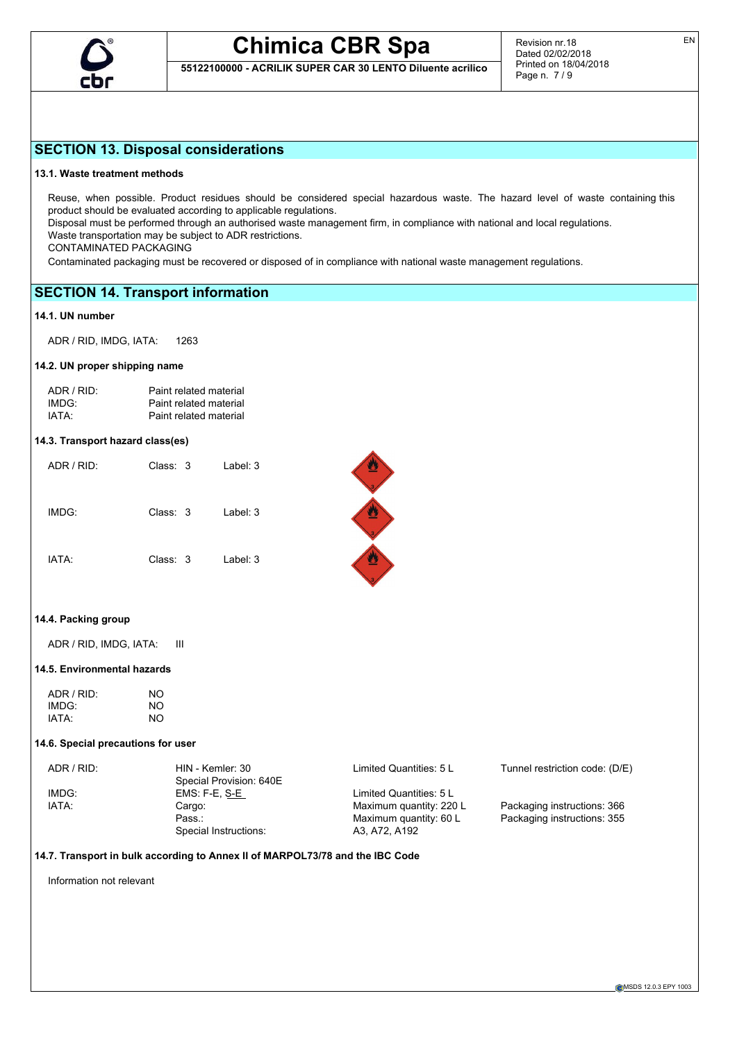

**55122100000 - ACRILIK SUPER CAR 30 LENTO Diluente acrilico**

## **SECTION 13. Disposal considerations**

## **13.1. Waste treatment methods**

Reuse, when possible. Product residues should be considered special hazardous waste. The hazard level of waste containing this product should be evaluated according to applicable regulations.

Disposal must be performed through an authorised waste management firm, in compliance with national and local regulations.

Waste transportation may be subject to ADR restrictions.

CONTAMINATED PACKAGING

Contaminated packaging must be recovered or disposed of in compliance with national waste management regulations.

## **SECTION 14. Transport information**

## **14.1. UN number**

ADR / RID, IMDG, IATA: 1263

## **14.2. UN proper shipping name**

| ADR / RID: | Paint related material |
|------------|------------------------|
| IMDG:      | Paint related material |
| IATA:      | Paint related material |

## **14.3. Transport hazard class(es)**

| ADR/RID | Class: 3 | Label: $3$ |
|---------|----------|------------|
| IMDG:   | Class: 3 | Label: $3$ |
| IATA:   | Class: 3 | Label: 3   |

## **14.4. Packing group**

ADR / RID, IMDG, IATA: III

## **14.5. Environmental hazards**

| ADR / RID: | NO |
|------------|----|
| IMDG:      | NO |
| IATA:      | NO |

## **14.6. Special precautions for user**

| ADR/RID: | HIN - Kemler: 30        | Limited Quantities: 5 L | Tunnel restriction code: (D/E) |
|----------|-------------------------|-------------------------|--------------------------------|
|          | Special Provision: 640E |                         |                                |
| IMDG:    | EMS: F-E, S-E           | Limited Quantities: 5 L |                                |
| IATA:    | Cargo:                  | Maximum quantity: 220 L | Packaging instructions: 366    |
|          | Pass.:                  | Maximum quantity: 60 L  | Packaging instructions: 355    |
|          | Special Instructions:   | A3, A72, A192           |                                |

## **14.7. Transport in bulk according to Annex II of MARPOL73/78 and the IBC Code**

Information not relevant

EN



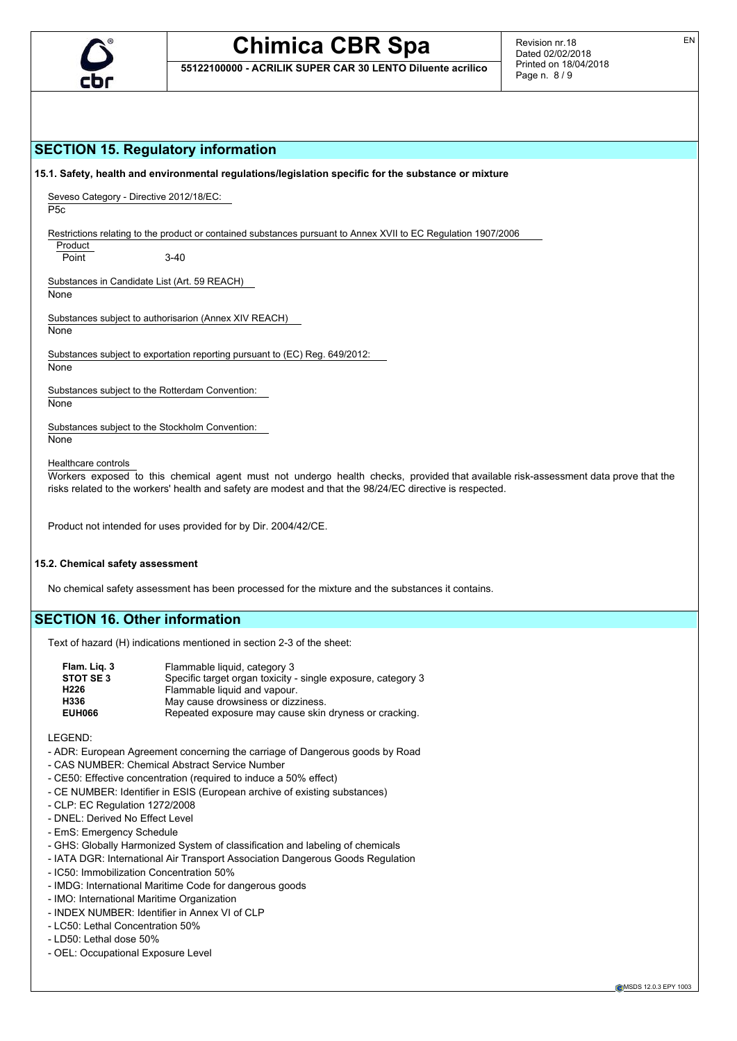

**55122100000 - ACRILIK SUPER CAR 30 LENTO Diluente acrilico**

EN

## **SECTION 15. Regulatory information**

**15.1. Safety, health and environmental regulations/legislation specific for the substance or mixture**

Seveso Category - Directive 2012/18/EC: P5c

Restrictions relating to the product or contained substances pursuant to Annex XVII to EC Regulation 1907/2006

Product

Point 3-40

Substances in Candidate List (Art. 59 REACH)

None

Substances subject to authorisarion (Annex XIV REACH) None

Substances subject to exportation reporting pursuant to (EC) Reg. 649/2012:

None

Substances subject to the Rotterdam Convention:

None

Substances subject to the Stockholm Convention: **None** 

Healthcare controls

Workers exposed to this chemical agent must not undergo health checks, provided that available risk-assessment data prove that the risks related to the workers' health and safety are modest and that the 98/24/EC directive is respected.

Product not intended for uses provided for by Dir. 2004/42/CE.

#### **15.2. Chemical safety assessment**

No chemical safety assessment has been processed for the mixture and the substances it contains.

## **SECTION 16. Other information**

Text of hazard (H) indications mentioned in section 2-3 of the sheet:

| Flam. Lig. 3     | Flammable liquid, category 3                                 |
|------------------|--------------------------------------------------------------|
| <b>STOT SE 3</b> | Specific target organ toxicity - single exposure, category 3 |
| H226             | Flammable liquid and vapour.                                 |
| H336             | May cause drowsiness or dizziness.                           |
| <b>EUH066</b>    | Repeated exposure may cause skin dryness or cracking.        |

LEGEND:

- ADR: European Agreement concerning the carriage of Dangerous goods by Road
- CAS NUMBER: Chemical Abstract Service Number
- CE50: Effective concentration (required to induce a 50% effect)
- CE NUMBER: Identifier in ESIS (European archive of existing substances)
- CLP: EC Regulation 1272/2008
- DNEL: Derived No Effect Level
- EmS: Emergency Schedule
- GHS: Globally Harmonized System of classification and labeling of chemicals
- IATA DGR: International Air Transport Association Dangerous Goods Regulation
- IC50: Immobilization Concentration 50%
- IMDG: International Maritime Code for dangerous goods
- IMO: International Maritime Organization
- INDEX NUMBER: Identifier in Annex VI of CLP
- LC50: Lethal Concentration 50%
- LD50: Lethal dose 50%
- OEL: Occupational Exposure Level